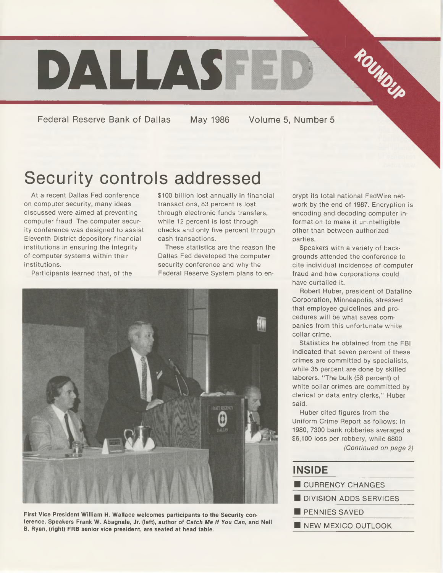

Federal Reserve Bank of Dallas May 1986 Volume 5, Number 5

# Security controls addressed

At a recent Dallas Fed conference on computer security, many ideas discussed were aimed at preventing computer fraud. The computer security conference was designed to assist Eleventh District depository financial institutions in ensuring the integrity of computer systems within their institutions.

Participants learned that, of the

\$100 billion lost annually in financial transactions, 83 percent is lost through electronic funds transfers, while 12 percent is lost through checks and only five percent through cash transactions.

These statistics are the reason the Dallas Fed developed the computer security conference and why the Federal Reserve System plans to en-



**First Vice President William H. Wallace welcomes participants to the Security conference. Speakers Frank W. Abagnale, Jr. (left), author of** *Catch Me If You Can,* **and Neil B. Ryan, (right) FRB senior vice president, are seated at head table.**

crypt its total national FedWire network by the end of 1987. Encryption is encoding and decoding computer information to make it unintelligible other than between authorized parties.

Speakers with a variety of backgrounds attended the conference to cite individual incidences of computer fraud and how corporations could have curtailed it.

Robert Huber, president of Dataline Corporation, Minneapolis, stressed that employee guidelines and procedures will be what saves companies from this unfortunate white collar crime.

Statistics he obtained from the FBI indicated that seven percent of these crimes are committed by specialists, while 35 percent are done by skilled laborers. "The bulk (58 percent) of white collar crimes are committed by clerical or data entry clerks," Huber said.

Huber cited figures from the Uniform Crime Report as follows: In 1980, 7300 bank robberies averaged a \$6,100 loss per robbery, while 6800 *(Continued on page 2)*

#### **INSIDE\_\_\_\_\_\_\_\_\_\_\_\_\_\_**

| CURRENCY CHANGES       |  |
|------------------------|--|
| DIVISION ADDS SERVICES |  |
| <b>PENNIES SAVED</b>   |  |
| NEW MEXICO OUTLOOK     |  |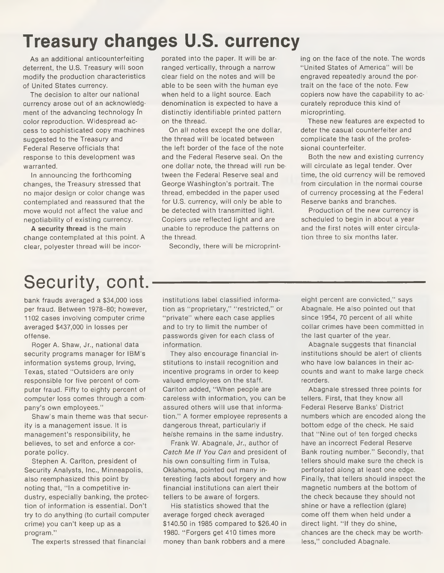## **Treasury changes U.S. currency**

As an additional anticounterfeiting deterrent, the U.S. Treasury will soon modify the production characteristics of United States currency.

The decision to alter our national currency arose out of an acknowledgment of the advancing technology in color reproduction. Widespread access to sophisticated copy machines suggested to the Treasury and Federal Reserve officials that response to this development was warranted.

In announcing the forthcoming changes, the Treasury stressed that no major design or color change was contemplated and reassured that the move would not affect the value and negotiability of existing currency.

**A security thread** is the main change contemplated at this point. A clear, polyester thread will be incorporated into the paper. It will be arranged vertically, through a narrow clear field on the notes and will be able to be seen with the human eye when held to a light source. Each denomination is expected to have a distinctly identifiable printed pattern on the thread.

On all notes except the one dollar, the thread will be located between the left border of the face of the note and the Federal Reserve seal. On the one dollar note, the thread will run between the Federal Reserve seal and George Washington's portrait. The thread, embedded in the paper used for U.S. currency, will only be able to be detected with transmitted light. Copiers use reflected light and are unable to reproduce the patterns on the thread.

Secondly, there will be microprint-

ing on the face of the note. The words "United States of America" will be engraved repeatedly around the portrait on the face of the note. Few copiers now have the capability to accurately reproduce this kind of microprinting.

These new features are expected to deter the casual counterfeiter and complicate the task of the professional counterfeiter.

Both the new and existing currency will circulate as legal tender. Over time, the old currency will be removed from circulation in the normal course of currency processing at the Federal Reserve banks and branches.

Production of the new currency is scheduled to begin in about a year and the first notes will enter circulation three to six months later.

# Security, cont.

bank frauds averaged a \$34,000 loss per fraud. Between 1978-80; however, 1102 cases involving computer crime averaged \$437,000 in losses per offense.

Roger A. Shaw, Jr., national data security programs manager for IBM's information systems group, Irving, Texas, stated "Outsiders are only responsible for five percent of computer fraud. Fifty to eighty percent of computer loss comes through a company's own employees.''

Shaw's main theme was that security is a management issue. It is management's responsibility, he believes, to set and enforce a corporate policy.

Stephen A. Carlton, president of Security Analysts, Inc., Minneapolis, also reemphasized this point by noting that, "In a competitive industry, especially banking, the protection of information is essential. Don't try to do anything (to curtail computer crime) you can't keep up as a program."

The experts stressed that financial

institutions label classified information as "proprietary," "restricted," or "private" where each case applies and to try to limit the number of passwords given for each class of information.

They also encourage financial institutions to install recognition and incentive programs in order to keep valued employees on the staff. Carlton added, "When people are careless with information, you can be assured others will use that information." A former employee represents a dangerous threat, particularly if he/she remains in the same industry.

Frank W. Abagnale, Jr., author of *Catch Me If You Can* and president of his own consulting firm in Tulsa, Oklahoma, pointed out many interesting facts about forgery and how financial institutions can alert their tellers to be aware of forgers.

His statistics showed that the average forged check averaged \$140.50 in 1985 compared to \$26.40 in 1980. "Forgers get 410 times more money than bank robbers and a mere

eight percent are convicted," says Abagnale. He also pointed out that since 1954, 70 percent of all white collar crimes have been committed in the last quarter of the year.

Abagnale suggests that financial institutions should be alert of clients who have low balances in their accounts and want to make large check reorders.

Abagnale stressed three points for tellers. First, that they know all Federal Reserve Banks' District numbers which are encoded along the bottom edge of the check. He said that "Nine out of ten forged checks have an incorrect Federal Reserve Bank routing number." Secondly, that tellers should make sure the check is perforated along at least one edge. Finally, that tellers should inspect the magnetic numbers at the bottom of the check because they should not shine or have a reflection (glare) come off them when held under a direct light. "If they do shine, chances are the check may be worthless," concluded Abagnale.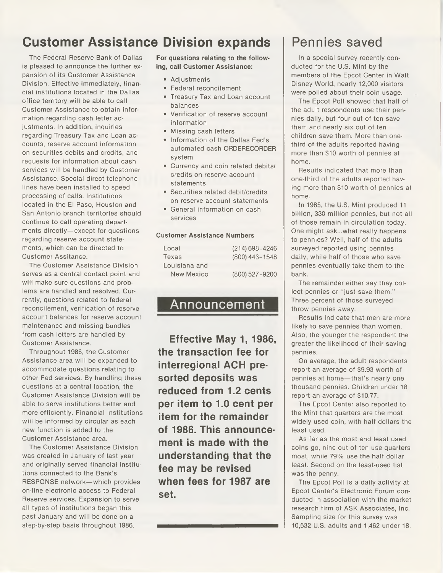## **Customer Assistance Division expands**

The Federal Reserve Bank of Dallas is pleased to announce the further expansion of its Customer Assistance Division. Effective immediately, financial institutions located in the Dallas office territory will be able to call Customer Assistance to obtain information regarding cash letter adjustments. In addition, inquiries regarding Treasury Tax and Loan accounts, reserve account information on securities debits and credits, and requests for information about cash services will be handled by Customer Assistance. Special direct telephone lines have been installed to speed processing of calls. Institutions located in the El Paso, Houston and San Antonio branch territories should continue to call operating departments directly—except for questions regarding reserve account statements, which can be directed to Customer Assitance.

The Customer Assistance Division serves as a central contact point and will make sure questions and problems are handled and resolved. Currently, questions related to federal reconcilement, verification of reserve account balances for reserve account maintenance and missing bundles from cash letters are handled by Customer Assistance.

Throughout 1986, the Customer Assistance area will be expanded to accommodate questions relating to other Fed services. By handling these questions at a central location, the Customer Assistance Division will be able to serve institutions better and more efficiently. Financial institutions will be informed by circular as each new function is added to the Customer Assistance area.

The Customer Assistance Division was created in January of last year and originally served financial institutions connected to the Bank's RESPONSE network—which provides on-line electronic access to Federal Reserve services. Expansion to serve all types of institutions began this past January and will be done on a step-by-step basis throughout 1986.

**For questions relating to the following, call Customer Assistance:**

- Adjustments
- Federal reconcilement
- Treasury Tax and Loan account balances
- Verification of reserve account information
- Missing cash letters
- Information of the Dallas Fed's automated cash ORDERECORDER system
- Currency and coin related debits/ credits on reserve account statements
- Securities related debit/credits on reserve account statements
- General information on cash services

#### **Customer Assistance Numbers**

| Local         | $(214) 698 - 4246$ |
|---------------|--------------------|
| Texas         | (800) 443-1548     |
| Louisiana and |                    |
| New Mexico    | (800) 527-9200     |

#### Announcement

**Effective May 1, 1986, the transaction fee for interregional ACH presorted deposits was reduced from 1.2 cents per item to 1.0 cent per item for the remainder of 1986. This announcement is made with the understanding that the fee may be revised when fees for 1987 are set.**

### Pennies saved

In a special survey recently conducted for the U.S. Mint by the members of the Epcot Center in Walt Disney World, nearly 12,000 visitors were polled about their coin usage.

The Epcot Poll showed that half of the adult respondents use their pennies daily, but four out of ten save them and nearly six out of ten children save them. More than onethird of the adults reported having more than \$10 worth of pennies at home.

Results indicated that more than one-third of the adults reported having more than \$10 worth of pennies at home.

In 1985, the U.S. Mint produced 11 billion, 330 million pennies, but not all of those remain in circulation today. One might ask...what really happens to pennies? Well, half of the adults surveyed reported using pennies daily, while half of those who save pennies eventually take them to the bank.

The remainder either say they collect pennies or "just save them." Three percent of those surveyed throw pennies away.

Results indicate that men are more likely to save pennies than women. Also, the younger the respondent the greater the likelihood of their saving pennies.

On average, the adult respondents report an average of \$9.93 worth of pennies at home—that's nearly one thousand pennies. Children under 18 report an average of \$10.77.

The Epcot Center also reported to the Mint that quarters are the most widely used coin, with half dollars the least used.

As far as the most and least used coins go, nine out of ten use quarters most, while 79% use the half dollar least. Second on the least-used list was the penny.

The Epcot Poll is a daily activity at Epcot Center's Electronic Forum conducted in association with the market research firm of ASK Associates, Inc. Sampling size for this survey was 10,532 U.S. adults and 1,462 under 18.